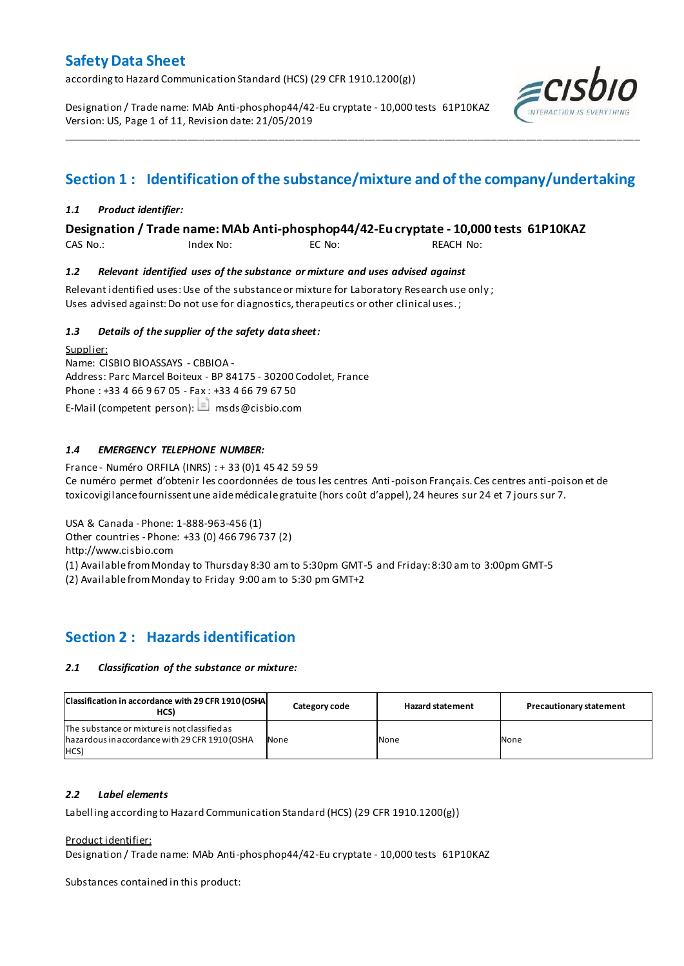according to Hazard Communication Standard (HCS) (29 CFR 1910.1200(g))

Designation / Trade name: MAb Anti-phosphop44/42-Eu cryptate - 10,000 tests 61P10KAZ Version: US, Page 1 of 11, Revision date: 21/05/2019



# **Section 1 : Identification of the substance/mixture and of the company/undertaking**

\_\_\_\_\_\_\_\_\_\_\_\_\_\_\_\_\_\_\_\_\_\_\_\_\_\_\_\_\_\_\_\_\_\_\_\_\_\_\_\_\_\_\_\_\_\_\_\_\_\_\_\_\_\_\_\_\_\_\_\_\_\_\_\_\_\_\_\_\_\_\_\_\_\_\_\_\_\_\_\_\_\_\_\_\_\_\_\_\_\_\_\_\_\_\_\_\_\_\_\_\_

#### *1.1 Product identifier:*

**Designation / Trade name: MAb Anti-phosphop44/42-Eu cryptate - 10,000 tests 61P10KAZ** 

CAS No.: Index No: EC No: REACH No:

#### *1.2 Relevant identified uses of the substance or mixture and uses advised against*

Relevant identified uses: Use of the substance or mixture for Laboratory Research use only ; Uses advised against: Do not use for diagnostics, therapeutics or other clinical uses.;

#### *1.3 Details of the supplier of the safety data sheet:*

Supplier: Name: CISBIO BIOASSAYS - CBBIOA - Address: Parc Marcel Boiteux - BP 84175 - 30200 Codolet, France Phone : +33 4 66 9 67 05 - Fax : +33 4 66 79 67 50 E-Mail (competent person):  $\Box$  msds@cisbio.com

#### *1.4 EMERGENCY TELEPHONE NUMBER:*

France - Numéro ORFILA (INRS) : + 33 (0)1 45 42 59 59 Ce numéro permet d'obtenir les coordonnées de tous les centres Anti-poison Français. Ces centres anti-poison et de toxicovigilance fournissent une aide médicale gratuite (hors coût d'appel), 24 heures sur 24 et 7 jours sur 7.

USA & Canada - Phone: 1-888-963-456 (1)

Other countries - Phone: +33 (0) 466 796 737 (2)

http://www.cisbio.com

(1) Available from Monday to Thursday 8:30 am to 5:30pm GMT-5 and Friday: 8:30 am to 3:00pm GMT-5

(2) Available from Monday to Friday 9:00 am to 5:30 pm GMT+2

### **Section 2 : Hazards identification**

#### *2.1 Classification of the substance or mixture:*

| Classification in accordance with 29 CFR 1910 (OSHA<br>HCS)                                             | Category code | <b>Hazard statement</b> | <b>Precautionary statement</b> |
|---------------------------------------------------------------------------------------------------------|---------------|-------------------------|--------------------------------|
| The substance or mixture is not classified as<br>hazardous in accordance with 29 CFR 1910 (OSHA<br>HCS) | None          | None                    | None                           |

#### *2.2 Label elements*

Labelling according to Hazard Communication Standard (HCS) (29 CFR 1910.1200(g))

#### Product identifier:

Designation / Trade name: MAb Anti-phosphop44/42-Eu cryptate - 10,000 tests 61P10KAZ

Substances contained in this product: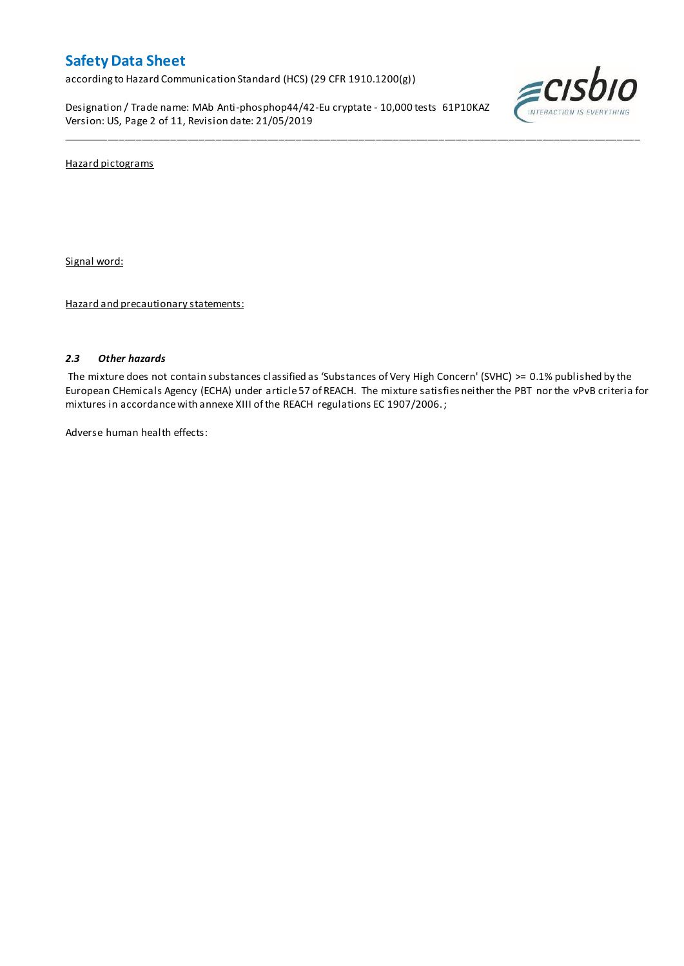according to Hazard Communication Standard (HCS) (29 CFR 1910.1200(g))

Designation / Trade name: MAb Anti-phosphop44/42-Eu cryptate - 10,000 tests 61P10KAZ Version: US, Page 2 of 11, Revision date: 21/05/2019



Hazard pictograms

Signal word:

Hazard and precautionary statements:

#### *2.3 Other hazards*

The mixture does not contain substances classified as 'Substances of Very High Concern' (SVHC) >= 0.1% published by the European CHemicals Agency (ECHA) under article 57 of REACH. The mixture satisfies neither the PBT nor the vPvB criteria for mixtures in accordance with annexe XIII of the REACH regulations EC 1907/2006. ;

\_\_\_\_\_\_\_\_\_\_\_\_\_\_\_\_\_\_\_\_\_\_\_\_\_\_\_\_\_\_\_\_\_\_\_\_\_\_\_\_\_\_\_\_\_\_\_\_\_\_\_\_\_\_\_\_\_\_\_\_\_\_\_\_\_\_\_\_\_\_\_\_\_\_\_\_\_\_\_\_\_\_\_\_\_\_\_\_\_\_\_\_\_\_\_\_\_\_\_\_\_

Adverse human health effects: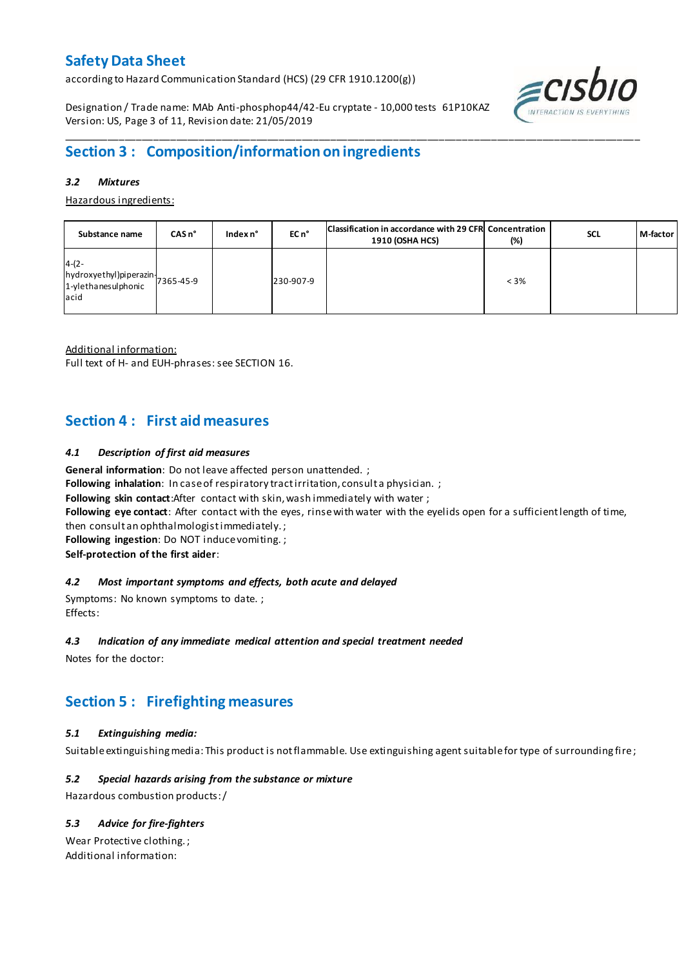according to Hazard Communication Standard (HCS) (29 CFR 1910.1200(g))

Designation / Trade name: MAb Anti-phosphop44/42-Eu cryptate - 10,000 tests 61P10KAZ Version: US, Page 3 of 11, Revision date: 21/05/2019



# **Section 3 : Composition/information on ingredients**

#### *3.2 Mixtures*

Hazardous ingredients:

| Substance name                                                                 | CAS <sub>n</sub> ° | Index n° | EC n°     | Classification in accordance with 29 CFR Concentration<br><b>1910 (OSHA HCS)</b> | (%)     | <b>SCL</b> | M-factor |
|--------------------------------------------------------------------------------|--------------------|----------|-----------|----------------------------------------------------------------------------------|---------|------------|----------|
| $4-(2-$<br>hydroxyethyl)piperazin<br>7365-45-9<br>1-ylethanesulphonic<br>lacid |                    |          | 230-907-9 |                                                                                  | $< 3\%$ |            |          |

\_\_\_\_\_\_\_\_\_\_\_\_\_\_\_\_\_\_\_\_\_\_\_\_\_\_\_\_\_\_\_\_\_\_\_\_\_\_\_\_\_\_\_\_\_\_\_\_\_\_\_\_\_\_\_\_\_\_\_\_\_\_\_\_\_\_\_\_\_\_\_\_\_\_\_\_\_\_\_\_\_\_\_\_\_\_\_\_\_\_\_\_\_\_\_\_\_\_\_\_\_

Additional information:

Full text of H- and EUH-phrases: see SECTION 16.

### **Section 4 : First aid measures**

#### *4.1 Description of first aid measures*

**General information**: Do not leave affected person unattended. ;

Following inhalation: In case of respiratory tract irritation, consult a physician. ;

**Following skin contact**:After contact with skin, wash immediately with water ;

**Following eye contact**: After contact with the eyes, rinse with water with the eyelids open for a sufficient length of time,

then consult an ophthalmologist immediately. ;

**Following ingestion**: Do NOT induce vomiting. ;

**Self-protection of the first aider**:

#### *4.2 Most important symptoms and effects, both acute and delayed*

Symptoms: No known symptoms to date. ; Effects:

#### *4.3 Indication of any immediate medical attention and special treatment needed*

Notes for the doctor:

# **Section 5 : Firefighting measures**

#### *5.1 Extinguishing media:*

Suitable extinguishing media: This product is not flammable. Use extinguishing agent suitable for type of surrounding fire ;

#### *5.2 Special hazards arising from the substance or mixture*

Hazardous combustion products:/

#### *5.3 Advice for fire-fighters*

Wear Protective clothing. ; Additional information: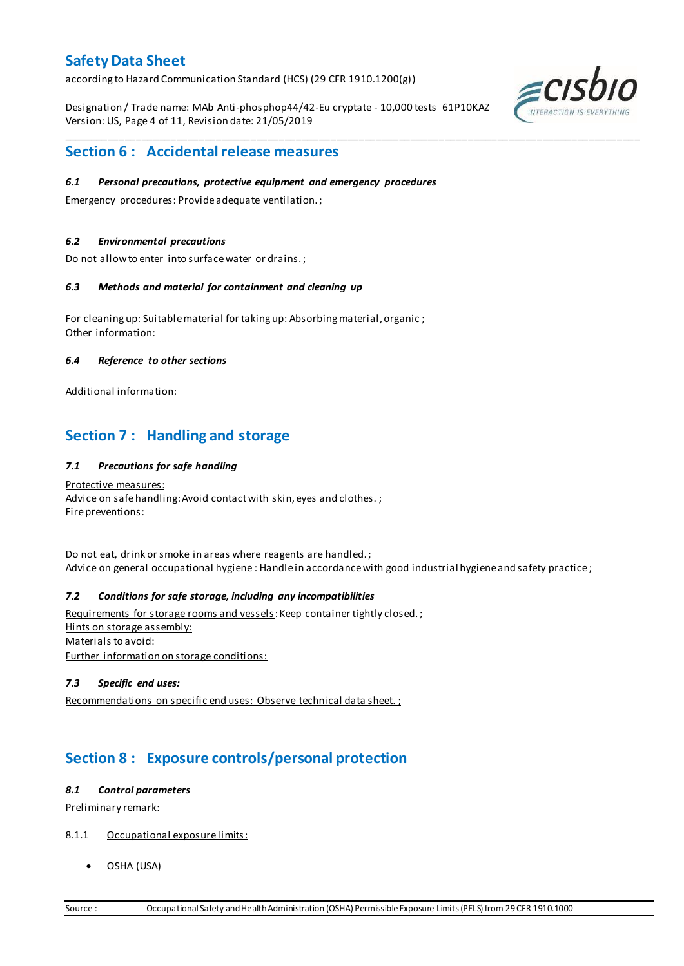according to Hazard Communication Standard (HCS) (29 CFR 1910.1200(g))

Designation / Trade name: MAb Anti-phosphop44/42-Eu cryptate - 10,000 tests 61P10KAZ Version: US, Page 4 of 11, Revision date: 21/05/2019

\_\_\_\_\_\_\_\_\_\_\_\_\_\_\_\_\_\_\_\_\_\_\_\_\_\_\_\_\_\_\_\_\_\_\_\_\_\_\_\_\_\_\_\_\_\_\_\_\_\_\_\_\_\_\_\_\_\_\_\_\_\_\_\_\_\_\_\_\_\_\_\_\_\_\_\_\_\_\_\_\_\_\_\_\_\_\_\_\_\_\_\_\_\_\_\_\_\_\_\_\_



### **Section 6 : Accidental release measures**

#### *6.1 Personal precautions, protective equipment and emergency procedures*

Emergency procedures: Provide adequate ventilation. ;

#### *6.2 Environmental precautions*

Do not allow to enter into surface water or drains. ;

#### *6.3 Methods and material for containment and cleaning up*

For cleaning up: Suitable material for taking up: Absorbing material, organic ; Other information:

#### *6.4 Reference to other sections*

Additional information:

### **Section 7 : Handling and storage**

#### *7.1 Precautions for safe handling*

Protective measures: Advice on safe handling: Avoid contact with skin, eyes and clothes.; Fire preventions:

Do not eat, drink or smoke in areas where reagents are handled. ; Advice on general occupational hygiene: Handle in accordance with good industrial hygiene and safety practice;

#### *7.2 Conditions for safe storage, including any incompatibilities*

Requirements for storage rooms and vessels: Keep container tightly closed.; Hints on storage assembly: Materials to avoid: Further information on storage conditions:

#### *7.3 Specific end uses:*

Recommendations on specific end uses: Observe technical data sheet. ;

# **Section 8 : Exposure controls/personal protection**

#### *8.1 Control parameters*

Preliminary remark:

- 8.1.1 Occupational exposure limits:
	- OSHA (USA)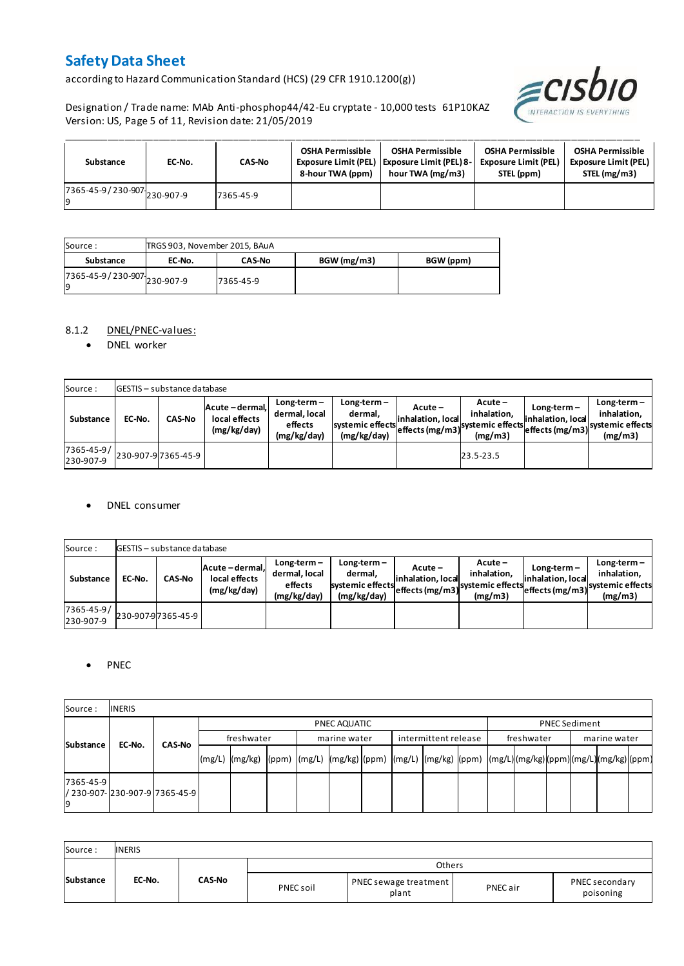according to Hazard Communication Standard (HCS) (29 CFR 1910.1200(g))

Designation / Trade name: MAb Anti-phosphop44/42-Eu cryptate - 10,000 tests 61P10KAZ Version: US, Page 5 of 11, Revision date: 21/05/2019



| Substance                         | EC-No. | <b>CAS-No</b> | <b>OSHA Permissible</b><br>8-hour TWA (ppm) | <b>OSHA Permissible</b><br>Exposure Limit (PEL) Exposure Limit (PEL) 8-<br>hour TWA (mg/m3) | <b>OSHA Permissible</b><br><b>Exposure Limit (PEL)</b><br>STEL (ppm) | <b>OSHA Permissible</b><br><b>Exposure Limit (PEL)</b><br>STEL (mg/m3) |
|-----------------------------------|--------|---------------|---------------------------------------------|---------------------------------------------------------------------------------------------|----------------------------------------------------------------------|------------------------------------------------------------------------|
| 7365-45-9/230-907-230-907-9<br>١q |        | 7365-45-9     |                                             |                                                                                             |                                                                      |                                                                        |

| Source :                            | TRGS 903, November 2015, BAuA |               |             |           |
|-------------------------------------|-------------------------------|---------------|-------------|-----------|
| Substance                           | EC-No.                        | <b>CAS-No</b> | BGW (mg/m3) | BGW (ppm) |
| 7365-45-9 / 230-907 230-907-9<br>19 |                               | 7365-45-9     |             |           |

#### 8.1.2 DNEL/PNEC-values:

• DNEL worker

| Source:                 |        | <b>GESTIS</b> - substance database |                                                 |                                                          |                                                          |                                                    |                                                         |                                    |                                                                               |
|-------------------------|--------|------------------------------------|-------------------------------------------------|----------------------------------------------------------|----------------------------------------------------------|----------------------------------------------------|---------------------------------------------------------|------------------------------------|-------------------------------------------------------------------------------|
| Substance               | EC-No. | <b>CAS-No</b>                      | Acute - dermal,<br>local effects<br>(mg/kg/day) | $Long-term -$<br>dermal, local<br>effects<br>(mg/kg/day) | Long-term-<br>dermal.<br>systemic effects<br>(mg/kg/day) | $Acute -$<br>linhalation. local<br>effects (mg/m3) | $Acute -$<br>inhalation.<br>systemic effects<br>(mg/m3) | $Long-term -$<br>inhalation. local | $Long-term -$<br>inhalation.<br>"leffects (mg/m3) systemic effects<br>(mg/m3) |
| 7365-45-9/<br>230-907-9 |        | 230-907-97365-45-9                 |                                                 |                                                          |                                                          |                                                    | 23.5-23.5                                               |                                    |                                                                               |

#### DNEL consumer

| Source:                 |        | <b>GESTIS</b> - substance database |                                               |                                                          |                                                             |                              |                                                                                  |                                  |                                                                                |
|-------------------------|--------|------------------------------------|-----------------------------------------------|----------------------------------------------------------|-------------------------------------------------------------|------------------------------|----------------------------------------------------------------------------------|----------------------------------|--------------------------------------------------------------------------------|
| Substance               | EC-No. | <b>CAS-No</b>                      | Acute-dermal.<br>local effects<br>(mg/kg/day) | $Long-term -$<br>dermal, local<br>effects<br>(mg/kg/day) | $Long-term -$<br>dermal.<br>systemic effects<br>(mg/kg/day) | Acute –<br>inhalation. local | $Acute -$<br>inhalation.<br>systemic effects (mg/m3) systemic effects<br>(mg/m3) | Long-term –<br>inhalation. local | $Long-term -$<br>inhalation.<br>- weffects (mg/m3) systemic effects<br>(mg/m3) |
| 7365-45-9/<br>230-907-9 |        | 230-907-97365-45-9                 |                                               |                                                          |                                                             |                              |                                                                                  |                                  |                                                                                |

#### • PNEC

| Source:         | <b>INERIS</b>                   |               |        |              |              |  |                      |  |  |            |  |  |                      |  |  |  |  |
|-----------------|---------------------------------|---------------|--------|--------------|--------------|--|----------------------|--|--|------------|--|--|----------------------|--|--|--|--|
|                 |                                 |               |        | PNEC AQUATIC |              |  |                      |  |  |            |  |  | <b>PNEC Sediment</b> |  |  |  |  |
| Substance       | EC-No.                          | freshwater    |        |              | marine water |  | intermittent release |  |  | freshwater |  |  | marine water         |  |  |  |  |
|                 |                                 | <b>CAS-No</b> | (mg/L) |              |              |  |                      |  |  |            |  |  |                      |  |  |  |  |
| 7365-45-9<br>۱q | / 230-907-1230-907-917365-45-91 |               |        |              |              |  |                      |  |  |            |  |  |                      |  |  |  |  |

| Source:   | <b>INERIS</b> |               |           |                                |          |                             |
|-----------|---------------|---------------|-----------|--------------------------------|----------|-----------------------------|
|           |               |               |           | Others                         |          |                             |
| Substance | EC-No.        | <b>CAS-No</b> | PNEC soil | PNEC sewage treatment<br>plant | PNEC air | PNEC secondary<br>poisoning |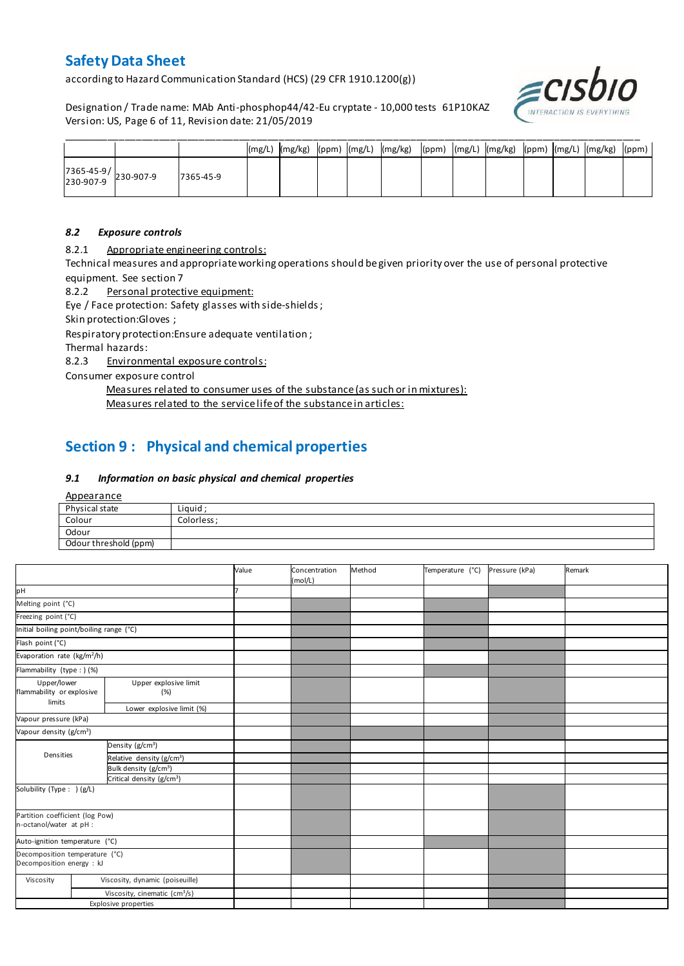according to Hazard Communication Standard (HCS) (29 CFR 1910.1200(g))

Designation / Trade name: MAb Anti-phosphop44/42-Eu cryptate - 10,000 tests 61P10KAZ Version: US, Page 6 of 11, Revision date: 21/05/2019



|                                                                                       |           |  |  | (mg/L)  (mg/kg)  (ppm)  (mg/L)  (mg/kg)  (ppm)  (mg/L)  (mg/kg)  (ppm)  (mg/L)  (mg/kg)  (ppm) |  |  |  |  |
|---------------------------------------------------------------------------------------|-----------|--|--|------------------------------------------------------------------------------------------------|--|--|--|--|
| $\begin{array}{ c c c c }\n 7365-45-9 & & 230-907-9 \\ 230-907-9 & & & \n\end{array}$ | 7365-45-9 |  |  |                                                                                                |  |  |  |  |

#### *8.2 Exposure controls*

8.2.1 Appropriate engineering controls:

Technical measures and appropriate working operations should be given priority over the use of personal protective equipment. See section 7

8.2.2 Personal protective equipment:

Eye / Face protection: Safety glasses with side-shields;

Skin protection:Gloves ;

Respiratory protection:Ensure adequate ventilation ;

Thermal hazards:

8.2.3 Environmental exposure controls:

Consumer exposure control

Measures related to consumer uses of the substance (as such or in mixtures): Measures related to the service life of the substance in articles:

# **Section 9 : Physical and chemical properties**

#### *9.1 Information on basic physical and chemical properties*

**Appearance** 

| Physical state        | Liguid     |
|-----------------------|------------|
| Colour                | Colorless: |
| Odour                 |            |
| Odour threshold (ppm) |            |

|                                                                          |  |                                           | Value | Concentration<br>(mol/L) | Method | Temperature (°C) | Pressure (kPa) | Remark |
|--------------------------------------------------------------------------|--|-------------------------------------------|-------|--------------------------|--------|------------------|----------------|--------|
| pH                                                                       |  |                                           |       |                          |        |                  |                |        |
| Melting point (°C)                                                       |  |                                           |       |                          |        |                  |                |        |
| Freezing point (°C)                                                      |  |                                           |       |                          |        |                  |                |        |
| Initial boiling point/boiling range (°C)                                 |  |                                           |       |                          |        |                  |                |        |
| Flash point (°C)                                                         |  |                                           |       |                          |        |                  |                |        |
| Evaporation rate (kg/m <sup>2</sup> /h)                                  |  |                                           |       |                          |        |                  |                |        |
| Flammability (type : ) (%)                                               |  |                                           |       |                          |        |                  |                |        |
| Upper/lower<br>Upper explosive limit<br>flammability or explosive<br>(%) |  |                                           |       |                          |        |                  |                |        |
| limits<br>Lower explosive limit (%)                                      |  |                                           |       |                          |        |                  |                |        |
| Vapour pressure (kPa)                                                    |  |                                           |       |                          |        |                  |                |        |
| Vapour density (g/cm <sup>3</sup> )                                      |  |                                           |       |                          |        |                  |                |        |
|                                                                          |  | Density (g/cm <sup>3</sup> )              |       |                          |        |                  |                |        |
| Densities                                                                |  | Relative density (g/cm <sup>3</sup> )     |       |                          |        |                  |                |        |
|                                                                          |  | Bulk density (g/cm <sup>3</sup> )         |       |                          |        |                  |                |        |
|                                                                          |  | Critical density (g/cm <sup>3</sup> )     |       |                          |        |                  |                |        |
| Solubility (Type: ) (g/L)                                                |  |                                           |       |                          |        |                  |                |        |
| Partition coefficient (log Pow)<br>n-octanol/water at pH :               |  |                                           |       |                          |        |                  |                |        |
| Auto-ignition temperature (°C)                                           |  |                                           |       |                          |        |                  |                |        |
| Decomposition temperature (°C)<br>Decomposition energy : kJ              |  |                                           |       |                          |        |                  |                |        |
| Viscosity                                                                |  | Viscosity, dynamic (poiseuille)           |       |                          |        |                  |                |        |
|                                                                          |  | Viscosity, cinematic (cm <sup>3</sup> /s) |       |                          |        |                  |                |        |
|                                                                          |  | <b>Explosive properties</b>               |       |                          |        |                  |                |        |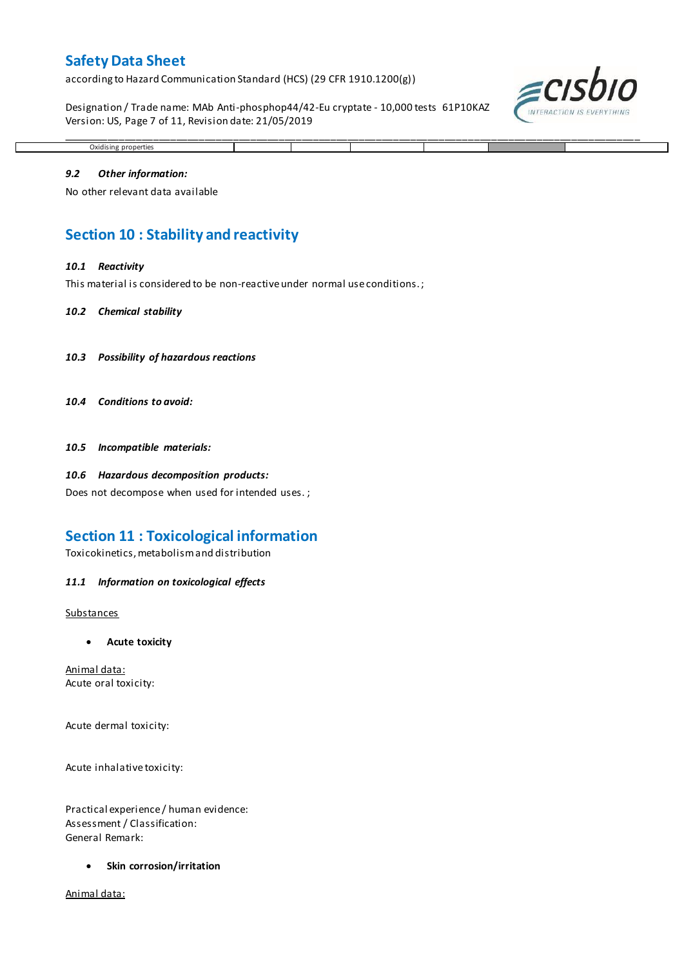according to Hazard Communication Standard (HCS) (29 CFR 1910.1200(g))

Designation / Trade name: MAb Anti-phosphop44/42-Eu cryptate - 10,000 tests 61P10KAZ Version: US, Page 7 of 11, Revision date: 21/05/2019

\_\_\_\_\_\_\_\_\_\_\_\_\_\_\_\_\_\_\_\_\_\_\_\_\_\_\_\_\_\_\_\_\_\_\_\_\_\_\_\_\_\_\_\_\_\_\_\_\_\_\_\_\_\_\_\_\_\_\_\_\_\_\_\_\_\_\_\_\_\_\_\_\_\_\_\_\_\_\_\_\_\_\_\_\_\_\_\_\_\_\_\_\_\_\_\_\_\_\_\_\_



# *9.2 Other information:*

Oxidising properties

No other relevant data available

### **Section 10 : Stability and reactivity**

#### *10.1 Reactivity*

This material is considered to be non-reactive under normal use conditions. ;

#### *10.2 Chemical stability*

- *10.3 Possibility of hazardous reactions*
- *10.4 Conditions to avoid:*

*10.5 Incompatible materials:*

#### *10.6 Hazardous decomposition products:*

Does not decompose when used for intended uses. ;

### **Section 11 : Toxicological information**

Toxicokinetics, metabolism and distribution

#### *11.1 Information on toxicological effects*

#### **Substances**

**Acute toxicity**

Animal data: Acute oral toxicity:

Acute dermal toxicity:

Acute inhalative toxicity:

Practical experience / human evidence: Assessment / Classification: General Remark:

**Skin corrosion/irritation**

Animal data: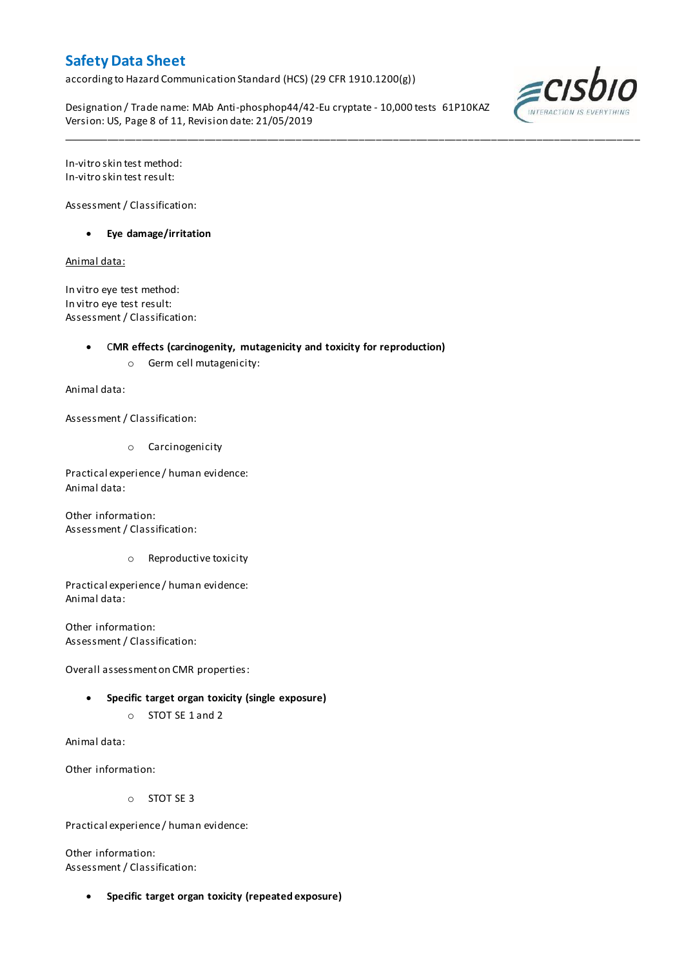according to Hazard Communication Standard (HCS) (29 CFR 1910.1200(g))

Designation / Trade name: MAb Anti-phosphop44/42-Eu cryptate - 10,000 tests 61P10KAZ Version: US, Page 8 of 11, Revision date: 21/05/2019

\_\_\_\_\_\_\_\_\_\_\_\_\_\_\_\_\_\_\_\_\_\_\_\_\_\_\_\_\_\_\_\_\_\_\_\_\_\_\_\_\_\_\_\_\_\_\_\_\_\_\_\_\_\_\_\_\_\_\_\_\_\_\_\_\_\_\_\_\_\_\_\_\_\_\_\_\_\_\_\_\_\_\_\_\_\_\_\_\_\_\_\_\_\_\_\_\_\_\_\_\_



In-vitro skin test method: In-vitro skin test result:

Assessment / Classification:

**Eye damage/irritation**

Animal data:

In vitro eye test method: In vitro eye test result: Assessment / Classification:

C**MR effects (carcinogenity, mutagenicity and toxicity for reproduction)**

o Germ cell mutagenicity:

Animal data:

Assessment / Classification:

o Carcinogenicity

Practical experience / human evidence: Animal data:

Other information: Assessment / Classification:

o Reproductive toxicity

Practical experience / human evidence: Animal data:

Other information: Assessment / Classification:

Overall assessment on CMR properties:

- **Specific target organ toxicity (single exposure)**
	- o STOT SE 1 and 2

Animal data:

Other information:

o STOT SE 3

Practical experience / human evidence:

Other information: Assessment / Classification:

**Specific target organ toxicity (repeated exposure)**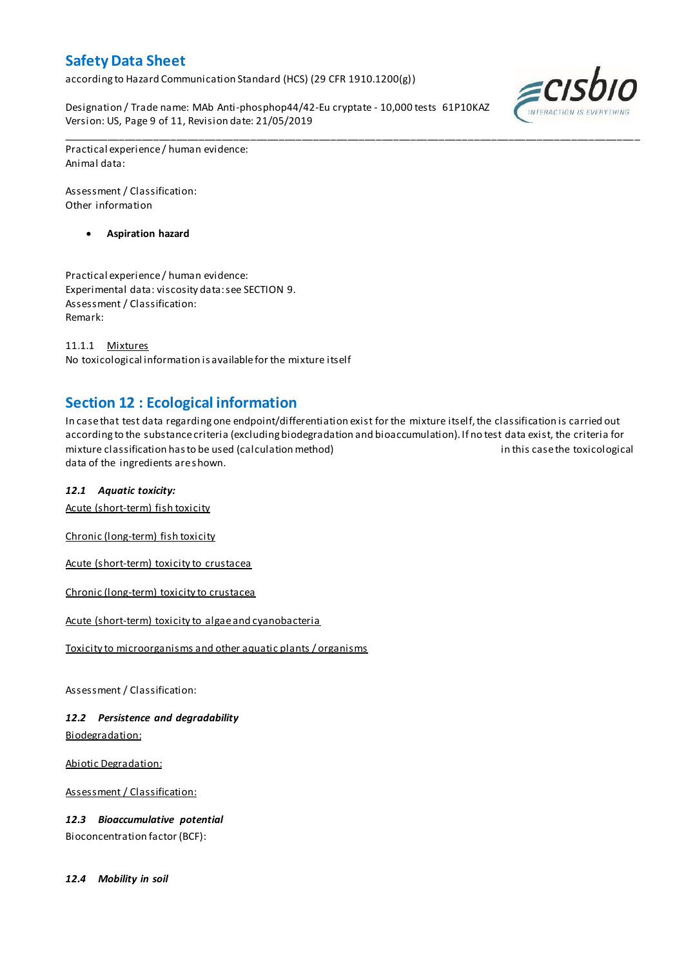according to Hazard Communication Standard (HCS) (29 CFR 1910.1200(g))

Designation / Trade name: MAb Anti-phosphop44/42-Eu cryptate - 10,000 tests 61P10KAZ Version: US, Page 9 of 11, Revision date: 21/05/2019



Practical experience / human evidence: Animal data:

Assessment / Classification: Other information

**Aspiration hazard**

Practical experience / human evidence: Experimental data: viscosity data: see SECTION 9. Assessment / Classification: Remark:

11.1.1 Mixtures No toxicological information is available for the mixture itself

### **Section 12 : Ecological information**

In case that test data regarding one endpoint/differentiation exist for the mixture itself, the classification is carried out according to the substance criteria (excluding biodegradation and bioaccumulation). If no test data exist, the criteria for mixture classification has to be used (calculation method) in this case the toxicological data of the ingredients are shown.

\_\_\_\_\_\_\_\_\_\_\_\_\_\_\_\_\_\_\_\_\_\_\_\_\_\_\_\_\_\_\_\_\_\_\_\_\_\_\_\_\_\_\_\_\_\_\_\_\_\_\_\_\_\_\_\_\_\_\_\_\_\_\_\_\_\_\_\_\_\_\_\_\_\_\_\_\_\_\_\_\_\_\_\_\_\_\_\_\_\_\_\_\_\_\_\_\_\_\_\_\_

#### *12.1 Aquatic toxicity:*

Acute (short-term) fish toxicity

Chronic (long-term) fish toxicity

Acute (short-term) toxicity to crustacea

Chronic (long-term) toxicity to crustacea

Acute (short-term) toxicity to algae and cyanobacteria

Toxicity to microorganisms and other aquatic plants / organisms

Assessment / Classification:

*12.2 Persistence and degradability* Biodegradation:

Abiotic Degradation:

Assessment / Classification:

*12.3 Bioaccumulative potential* Bioconcentration factor (BCF):

*12.4 Mobility in soil*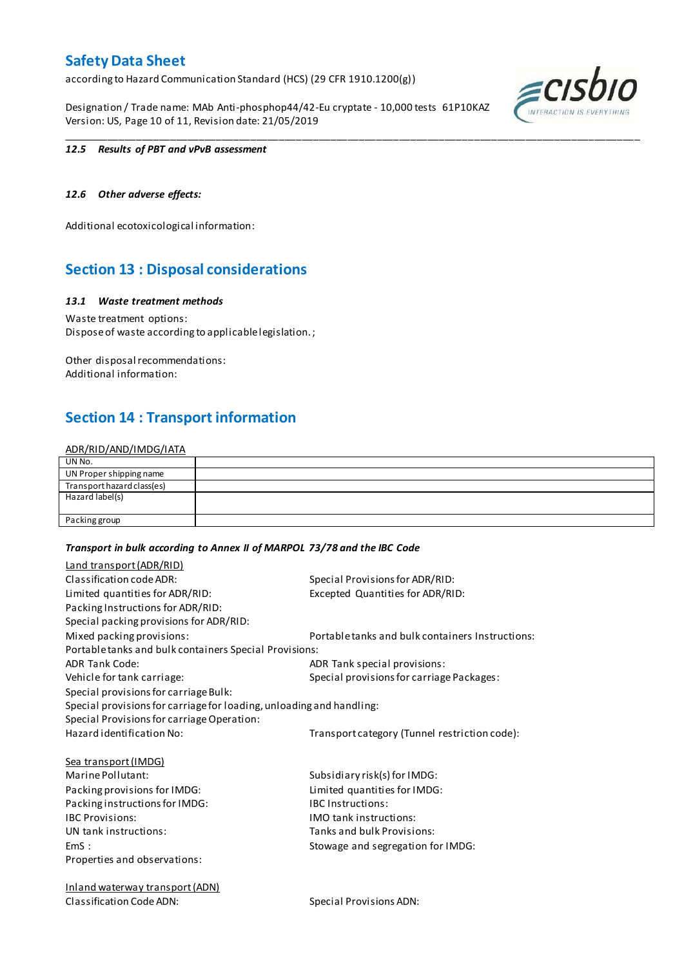according to Hazard Communication Standard (HCS) (29 CFR 1910.1200(g))

Designation / Trade name: MAb Anti-phosphop44/42-Eu cryptate - 10,000 tests 61P10KAZ Version: US, Page 10 of 11, Revision date: 21/05/2019



#### *12.5 Results of PBT and vPvB assessment*

#### *12.6 Other adverse effects:*

Additional ecotoxicological information:

### **Section 13 : Disposal considerations**

#### *13.1 Waste treatment methods*

Waste treatment options: Dispose of waste according to applicable legislation. ;

Other disposal recommendations: Additional information:

### **Section 14 : Transport information**

#### ADR/RID/AND/IMDG/IATA

| UN No.                     |  |
|----------------------------|--|
| UN Proper shipping name    |  |
| Transport hazard class(es) |  |
| Hazard label(s)            |  |
|                            |  |
| Packing group              |  |

\_\_\_\_\_\_\_\_\_\_\_\_\_\_\_\_\_\_\_\_\_\_\_\_\_\_\_\_\_\_\_\_\_\_\_\_\_\_\_\_\_\_\_\_\_\_\_\_\_\_\_\_\_\_\_\_\_\_\_\_\_\_\_\_\_\_\_\_\_\_\_\_\_\_\_\_\_\_\_\_\_\_\_\_\_\_\_\_\_\_\_\_\_\_\_\_\_\_\_\_\_

#### *Transport in bulk according to Annex II of MARPOL 73/78 and the IBC Code*

| Land transport (ADR/RID)                                             |                                                  |
|----------------------------------------------------------------------|--------------------------------------------------|
| Classification code ADR:                                             | Special Provisions for ADR/RID:                  |
| Limited quantities for ADR/RID:                                      | Excepted Quantities for ADR/RID:                 |
| Packing Instructions for ADR/RID:                                    |                                                  |
| Special packing provisions for ADR/RID:                              |                                                  |
| Mixed packing provisions:                                            | Portable tanks and bulk containers Instructions: |
| Portable tanks and bulk containers Special Provisions:               |                                                  |
| <b>ADR Tank Code:</b>                                                | ADR Tank special provisions:                     |
| Vehicle for tank carriage:                                           | Special provisions for carriage Packages:        |
| Special provisions for carriage Bulk:                                |                                                  |
| Special provisions for carriage for loading, unloading and handling: |                                                  |
| Special Provisions for carriage Operation:                           |                                                  |
| Hazard identification No:                                            | Transport category (Tunnel restriction code):    |
| <b>Sea transport (IMDG)</b>                                          |                                                  |
| Marine Pollutant:                                                    | Subsidiary risk(s) for IMDG:                     |
| Packing provisions for IMDG:                                         | Limited quantities for IMDG:                     |
| Packing instructions for IMDG:                                       | <b>IBC</b> Instructions:                         |
| <b>IBC Provisions:</b>                                               | <b>IMO</b> tank instructions:                    |
| UN tank instructions:                                                | Tanks and bulk Provisions:                       |
| EmS:                                                                 | Stowage and segregation for IMDG:                |
| Properties and observations:                                         |                                                  |
| <b>Inland waterway transport (ADN)</b>                               |                                                  |

Classification Code ADN: Special Provisions ADN: